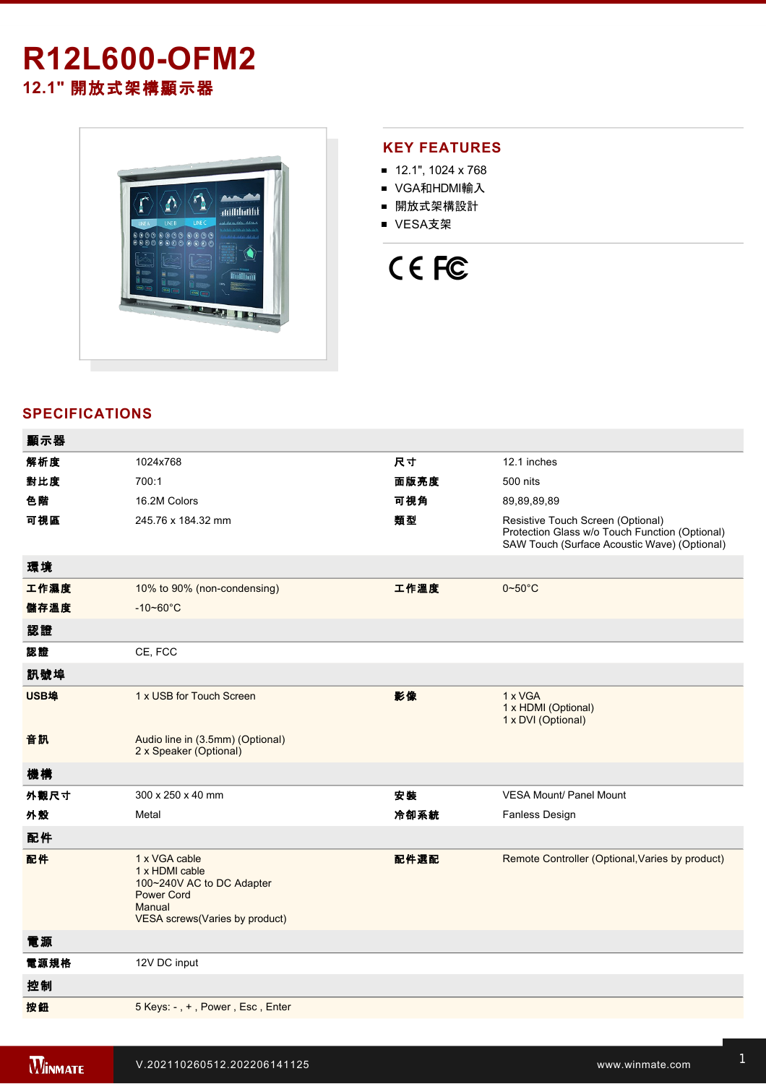# **R12L600-OFM2 12.1"** 開放式架構顯示器



#### **KEY FEATURES**

- 12.1", 1024 x 768
- VGA和HDMI輸入
- 開放式架構設計
- VESA支架



### **SPECIFICATIONS**

| 顯示器  |                                                                                                                                      |      |                                                                                                                                     |
|------|--------------------------------------------------------------------------------------------------------------------------------------|------|-------------------------------------------------------------------------------------------------------------------------------------|
| 解析度  | 1024x768                                                                                                                             | 尺寸   | 12.1 inches                                                                                                                         |
| 對比度  | 700:1                                                                                                                                | 面版亮度 | 500 nits                                                                                                                            |
| 色階   | 16.2M Colors                                                                                                                         | 可視角  | 89,89,89,89                                                                                                                         |
| 可視區  | 245.76 x 184.32 mm                                                                                                                   | 類型   | Resistive Touch Screen (Optional)<br>Protection Glass w/o Touch Function (Optional)<br>SAW Touch (Surface Acoustic Wave) (Optional) |
| 環境   |                                                                                                                                      |      |                                                                                                                                     |
| 工作濕度 | 10% to 90% (non-condensing)                                                                                                          | 工作溫度 | $0 - 50$ °C                                                                                                                         |
| 儲存溫度 | $-10 - 60^{\circ}$ C                                                                                                                 |      |                                                                                                                                     |
| 認證   |                                                                                                                                      |      |                                                                                                                                     |
| 認證   | CE, FCC                                                                                                                              |      |                                                                                                                                     |
| 訊號埠  |                                                                                                                                      |      |                                                                                                                                     |
| USB埠 | 1 x USB for Touch Screen                                                                                                             | 影像   | 1 x VGA<br>1 x HDMI (Optional)<br>1 x DVI (Optional)                                                                                |
| 音訊   | Audio line in (3.5mm) (Optional)<br>2 x Speaker (Optional)                                                                           |      |                                                                                                                                     |
| 機構   |                                                                                                                                      |      |                                                                                                                                     |
| 外觀尺寸 | 300 x 250 x 40 mm                                                                                                                    | 安裝   | <b>VESA Mount/ Panel Mount</b>                                                                                                      |
| 外殼   | Metal                                                                                                                                | 冷卻系統 | <b>Fanless Design</b>                                                                                                               |
| 配件   |                                                                                                                                      |      |                                                                                                                                     |
| 配件   | 1 x VGA cable<br>1 x HDMI cable<br>100~240V AC to DC Adapter<br><b>Power Cord</b><br>Manual<br><b>VESA screws(Varies by product)</b> | 配件選配 | Remote Controller (Optional, Varies by product)                                                                                     |
| 電源   |                                                                                                                                      |      |                                                                                                                                     |
| 電源規格 | 12V DC input                                                                                                                         |      |                                                                                                                                     |
| 控制   |                                                                                                                                      |      |                                                                                                                                     |
| 按鈕   | 5 Keys: -, +, Power, Esc, Enter                                                                                                      |      |                                                                                                                                     |
|      |                                                                                                                                      |      |                                                                                                                                     |